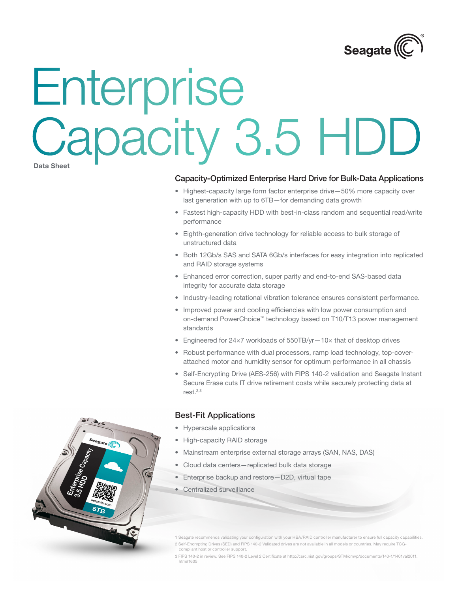

# **Data Sheet** Enterprise Capacity 3.5 HDD

### Capacity-Optimized Enterprise Hard Drive for Bulk-Data Applications

- Highest-capacity large form factor enterprise drive-50% more capacity over last generation with up to 6TB-for demanding data growth<sup>1</sup>
- • Fastest high-capacity HDD with best-in-class random and sequential read/write performance
- • Eighth-generation drive technology for reliable access to bulk storage of unstructured data
- Both 12Gb/s SAS and SATA 6Gb/s interfaces for easy integration into replicated and RAID storage systems
- Enhanced error correction, super parity and end-to-end SAS-based data integrity for accurate data storage
- • Industry-leading rotational vibration tolerance ensures consistent performance.
- Improved power and cooling efficiencies with low power consumption and on-demand PowerChoice™ technology based on T10/T13 power management standards
- Engineered for 24×7 workloads of 550TB/yr-10× that of desktop drives
- Robust performance with dual processors, ramp load technology, top-coverattached motor and humidity sensor for optimum performance in all chassis
- Self-Encrypting Drive (AES-256) with FIPS 140-2 validation and Seagate Instant Secure Erase cuts IT drive retirement costs while securely protecting data at  $rest.<sup>2,3</sup>$

### Best-Fit Applications

- • Hyperscale applications
- High-capacity RAID storage
- • Mainstream enterprise external storage arrays (SAN, NAS, DAS)
- Cloud data centers-replicated bulk data storage
- Enterprise backup and restore-D2D, virtual tape
- Centralized surveillance

1 Seagate recommends validating your configuration with your HBA/RAID controller manufacturer to ensure full capacity capabilities. 2 Self-Encrypting Drives (SED) and FIPS 140-2 Validated drives are not available in all models or countries. May require TCGcompliant host or controller support.

3 FIPS 140-2 in review. See FIPS 140-2 Level 2 Certificate at http://csrc.nist.gov/groups/STM/cmvp/documents/140-1/1401val2011. htm#1635

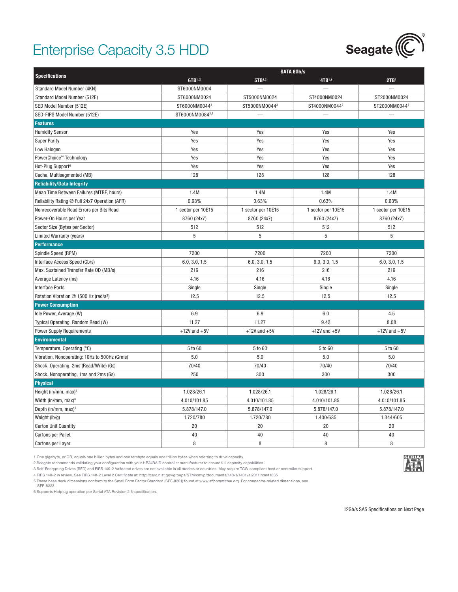## Enterprise Capacity 3.5 HDD



|                                                    | <b>SATA 6Gb/s</b>  |                    |                    |                    |  |
|----------------------------------------------------|--------------------|--------------------|--------------------|--------------------|--|
| <b>Specifications</b>                              | 6TB1,2             | 5TB1,2             | 4TB1,2             | 2TB <sup>1</sup>   |  |
| Standard Model Number (4KN)                        | ST6000NM0004       |                    |                    |                    |  |
| Standard Model Number (512E)                       | ST6000NM0024       | ST5000NM0024       | ST4000NM0024       | ST2000NM0024       |  |
| SED Model Number (512E)                            | ST6000NM00443      | ST5000NM00443      | ST4000NM00443      | ST2000NM00443      |  |
| SED-FIPS Model Number (512E)                       | ST6000NM00843,4    |                    |                    |                    |  |
| <b>Features</b>                                    |                    |                    |                    |                    |  |
| <b>Humidity Sensor</b>                             | Yes                | Yes                | Yes                | Yes                |  |
| <b>Super Parity</b>                                | Yes                | Yes                | Yes                | Yes                |  |
| Low Halogen                                        | Yes                | Yes                | Yes                | Yes                |  |
| PowerChoice™ Technology                            | Yes                | Yes                | Yes                | Yes                |  |
| Hot-Plug Support <sup>6</sup>                      | Yes                | Yes                | Yes                | Yes                |  |
| Cache, Multisegmented (MB)                         | 128                | 128                | 128                | 128                |  |
| <b>Reliability/Data Integrity</b>                  |                    |                    |                    |                    |  |
| Mean Time Between Failures (MTBF, hours)           | 1.4M               | 1.4M               | 1.4M               | 1.4M               |  |
| Reliability Rating @ Full 24x7 Operation (AFR)     | 0.63%              | 0.63%              | 0.63%              | 0.63%              |  |
| Nonrecoverable Read Errors per Bits Read           | 1 sector per 10E15 | 1 sector per 10E15 | 1 sector per 10E15 | 1 sector per 10E15 |  |
| Power-On Hours per Year                            | 8760 (24x7)        | 8760 (24x7)        | 8760 (24x7)        | 8760 (24x7)        |  |
| Sector Size (Bytes per Sector)                     | 512                | 512                | 512                | 512                |  |
| Limited Warranty (years)                           | 5                  | 5                  | 5                  | 5                  |  |
| <b>Performance</b>                                 |                    |                    |                    |                    |  |
| Spindle Speed (RPM)                                | 7200               | 7200               | 7200               | 7200               |  |
| Interface Access Speed (Gb/s)                      | 6.0, 3.0, 1.5      | 6.0, 3.0, 1.5      | 6.0, 3.0, 1.5      | 6.0, 3.0, 1.5      |  |
| Max. Sustained Transfer Rate OD (MB/s)             | 216                | 216                | 216                | 216                |  |
| Average Latency (ms)                               | 4.16               | 4.16               | 4.16               | 4.16               |  |
| <b>Interface Ports</b>                             | Single             | Single             | Single             | Single             |  |
| Rotation Vibration @ 1500 Hz (rad/s <sup>2</sup> ) | 12.5               | 12.5               | 12.5               | 12.5               |  |
| <b>Power Consumption</b>                           |                    |                    |                    |                    |  |
| Idle Power, Average (W)                            | 6.9                | 6.9                | 6.0                | 4.5                |  |
| Typical Operating, Random Read (W)                 | 11.27              | 11.27              | 9.42               | 8.08               |  |
| <b>Power Supply Requirements</b>                   | $+12V$ and $+5V$   | $+12V$ and $+5V$   | $+12V$ and $+5V$   | $+12V$ and $+5V$   |  |
| <b>Environmental</b>                               |                    |                    |                    |                    |  |
| Temperature, Operating (°C)                        | 5 to 60            | 5 to 60            | 5 to 60            | 5 to 60            |  |
| Vibration, Nonoperating: 10Hz to 500Hz (Grms)      | 5.0                | 5.0                | 5.0                | 5.0                |  |
| Shock, Operating, 2ms (Read/Write) (Gs)            | 70/40              | 70/40              | 70/40              | 70/40              |  |
| Shock, Nonoperating, 1ms and 2ms (Gs)              | 250                | 300                | 300                | 300                |  |
| <b>Physical</b>                                    |                    |                    |                    |                    |  |
| Height (in/mm, max) $6$                            | 1.028/26.1         | 1.028/26.1         | 1.028/26.1         | 1.028/26.1         |  |
| Width (in/mm, max) <sup>6</sup>                    | 4.010/101.85       | 4.010/101.85       | 4.010/101.85       | 4.010/101.85       |  |
| Depth (in/mm, max) <sup>6</sup>                    | 5.878/147.0        | 5.878/147.0        | 5.878/147.0        | 5.878/147.0        |  |
| Weight (lb/g)                                      | 1.720/780          | 1.720/780          | 1.400/635          | 1.344/605          |  |
| <b>Carton Unit Quantity</b>                        | 20                 | 20                 | 20                 | 20                 |  |
| <b>Cartons per Pallet</b>                          | 40                 | 40                 | 40                 | 40                 |  |
| Cartons per Layer                                  | 8                  | 8                  | 8                  | 8                  |  |

1 One gigabyte, or GB, equals one billion bytes and one terabyte equals one trillion bytes when referring to drive capacity.

2 Seagate recommends validating your configuration with your HBA/RAID controller manufacturer to ensure full capacity capabilities.

3 Self-Encrypting Drives (SED) and FIPS 140-2 Validated drives are not available in all models or countries. May require TCG-compliant host or controller support.

4 FIPS 140-2 in review. See FIPS 140-2 Level 2 Certificate at: http://csrc.nist.gov/groups/STM/cmvp/documents/140-1/1401val2011.htm#1635

5 These base deck dimensions conform to the Small Form Factor Standard (SFF-8201) found at www.sffcommittee.org. For connector-related dimensions, see SFF-8223.

6 Supports Hotplug operation per Serial ATA Revision 2.6 specification.



12Gb/s SAS Specifications on Next Page